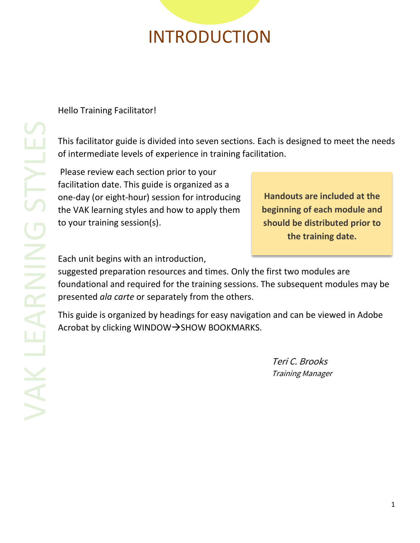## INTRODUCTION

Hello Training Facilitator!

This facilitator guide is divided into seven sections. Each is designed to meet the needs of intermediate levels of experience in training facilitation.

Please review each section prior to your facilitation date. This guide is organized as a one-day (or eight-hour) session for introducing the VAK learning styles and how to apply them to your training session(s).

**Handouts are included at the beginning of each module and should be distributed prior to the training date.**

Each unit begins with an introduction,

suggested preparation resources and times. Only the first two modules are foundational and required for the training sessions. The subsequent modules may be presented *ala carte* or separately from the others.

This guide is organized by headings for easy navigation and can be viewed in Adobe Acrobat by clicking WINDOW→SHOW BOOKMARKS.

> Teri C. Brooks Training Manager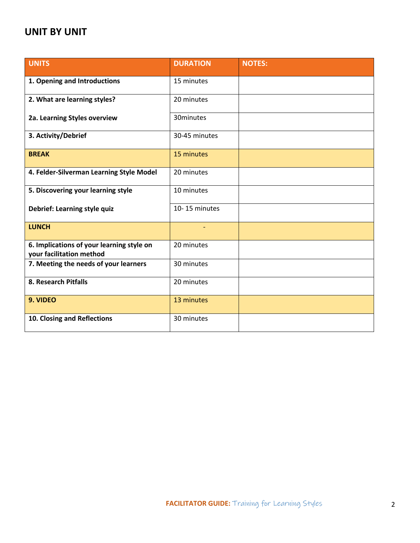#### **UNIT BY UNIT**

| <b>UNITS</b>                                                          | <b>DURATION</b> | <b>NOTES:</b> |
|-----------------------------------------------------------------------|-----------------|---------------|
| 1. Opening and Introductions                                          | 15 minutes      |               |
| 2. What are learning styles?                                          | 20 minutes      |               |
| 2a. Learning Styles overview                                          | 30minutes       |               |
| 3. Activity/Debrief                                                   | 30-45 minutes   |               |
| <b>BREAK</b>                                                          | 15 minutes      |               |
| 4. Felder-Silverman Learning Style Model                              | 20 minutes      |               |
| 5. Discovering your learning style                                    | 10 minutes      |               |
| Debrief: Learning style quiz                                          | 10-15 minutes   |               |
| <b>LUNCH</b>                                                          |                 |               |
| 6. Implications of your learning style on<br>your facilitation method | 20 minutes      |               |
| 7. Meeting the needs of your learners                                 | 30 minutes      |               |
| 8. Research Pitfalls                                                  | 20 minutes      |               |
| 9. VIDEO                                                              | 13 minutes      |               |
| 10. Closing and Reflections                                           | 30 minutes      |               |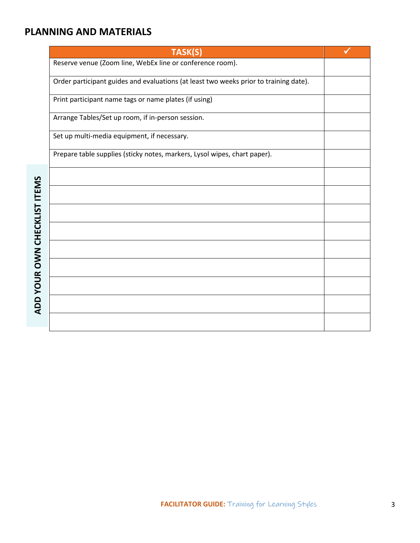#### **PLANNING AND MATERIALS**

| TASK(S)                                                                               |  |
|---------------------------------------------------------------------------------------|--|
| Reserve venue (Zoom line, WebEx line or conference room).                             |  |
| Order participant guides and evaluations (at least two weeks prior to training date). |  |
| Print participant name tags or name plates (if using)                                 |  |
| Arrange Tables/Set up room, if in-person session.                                     |  |
| Set up multi-media equipment, if necessary.                                           |  |
| Prepare table supplies (sticky notes, markers, Lysol wipes, chart paper).             |  |
|                                                                                       |  |
|                                                                                       |  |
|                                                                                       |  |
|                                                                                       |  |
|                                                                                       |  |
|                                                                                       |  |
|                                                                                       |  |
|                                                                                       |  |
|                                                                                       |  |
|                                                                                       |  |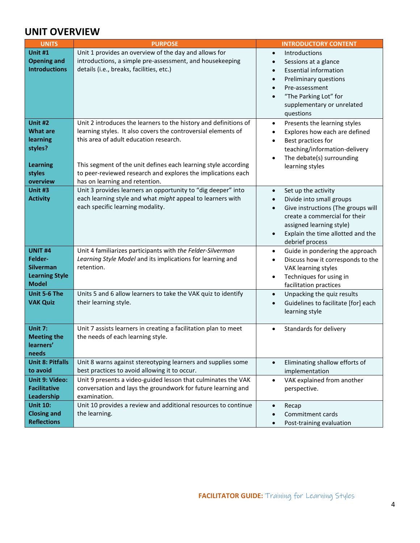### **UNIT OVERVIEW**

| <b>UNITS</b>                                                                               | <b>PURPOSE</b>                                                                                                                                                                                                                                                                                                                                  | <b>INTRODUCTORY CONTENT</b>                                                                                                                                                                                                                                        |
|--------------------------------------------------------------------------------------------|-------------------------------------------------------------------------------------------------------------------------------------------------------------------------------------------------------------------------------------------------------------------------------------------------------------------------------------------------|--------------------------------------------------------------------------------------------------------------------------------------------------------------------------------------------------------------------------------------------------------------------|
| <b>Unit #1</b><br><b>Opening and</b><br><b>Introductions</b>                               | Unit 1 provides an overview of the day and allows for<br>introductions, a simple pre-assessment, and housekeeping<br>details (i.e., breaks, facilities, etc.)                                                                                                                                                                                   | Introductions<br>$\bullet$<br>Sessions at a glance<br>$\bullet$<br><b>Essential information</b><br>$\bullet$<br>Preliminary questions<br>$\bullet$<br>Pre-assessment<br>$\bullet$<br>"The Parking Lot" for<br>$\bullet$<br>supplementary or unrelated<br>questions |
| Unit #2<br><b>What are</b><br>learning<br>styles?<br><b>Learning</b><br>styles<br>overview | Unit 2 introduces the learners to the history and definitions of<br>learning styles. It also covers the controversial elements of<br>this area of adult education research.<br>This segment of the unit defines each learning style according<br>to peer-reviewed research and explores the implications each<br>has on learning and retention. | Presents the learning styles<br>$\bullet$<br>Explores how each are defined<br>$\bullet$<br>Best practices for<br>$\bullet$<br>teaching/information-delivery<br>The debate(s) surrounding<br>learning styles                                                        |
| Unit #3<br><b>Activity</b>                                                                 | Unit 3 provides learners an opportunity to "dig deeper" into<br>each learning style and what might appeal to learners with<br>each specific learning modality.                                                                                                                                                                                  | Set up the activity<br>$\bullet$<br>Divide into small groups<br>$\bullet$<br>Give instructions (The groups will<br>$\bullet$<br>create a commercial for their<br>assigned learning style)<br>Explain the time allotted and the<br>$\bullet$<br>debrief process     |
| <b>UNIT #4</b><br>Felder-<br><b>Silverman</b><br><b>Learning Style</b><br><b>Model</b>     | Unit 4 familiarizes participants with the Felder-Silverman<br>Learning Style Model and its implications for learning and<br>retention.                                                                                                                                                                                                          | Guide in pondering the approach<br>$\bullet$<br>Discuss how it corresponds to the<br>$\bullet$<br>VAK learning styles<br>Techniques for using in<br>facilitation practices                                                                                         |
| Unit 5-6 The<br><b>VAK Quiz</b>                                                            | Units 5 and 6 allow learners to take the VAK quiz to identify<br>their learning style.                                                                                                                                                                                                                                                          | Unpacking the quiz results<br>$\bullet$<br>Guidelines to facilitate [for] each<br>$\bullet$<br>learning style                                                                                                                                                      |
| Unit 7:<br><b>Meeting the</b><br>learners'<br>needs                                        | Unit 7 assists learners in creating a facilitation plan to meet<br>the needs of each learning style.                                                                                                                                                                                                                                            | Standards for delivery<br>$\bullet$                                                                                                                                                                                                                                |
| <b>Unit 8: Pitfalls</b><br>to avoid                                                        | Unit 8 warns against stereotyping learners and supplies some<br>best practices to avoid allowing it to occur.                                                                                                                                                                                                                                   | Eliminating shallow efforts of<br>$\bullet$<br>implementation                                                                                                                                                                                                      |
| <b>Unit 9: Video:</b><br><b>Facilitative</b><br>Leadership                                 | Unit 9 presents a video-guided lesson that culminates the VAK<br>conversation and lays the groundwork for future learning and<br>examination.                                                                                                                                                                                                   | VAK explained from another<br>$\bullet$<br>perspective.                                                                                                                                                                                                            |
| <b>Unit 10:</b><br><b>Closing and</b><br><b>Reflections</b>                                | Unit 10 provides a review and additional resources to continue<br>the learning.                                                                                                                                                                                                                                                                 | Recap<br>Commitment cards<br>Post-training evaluation<br>$\bullet$                                                                                                                                                                                                 |